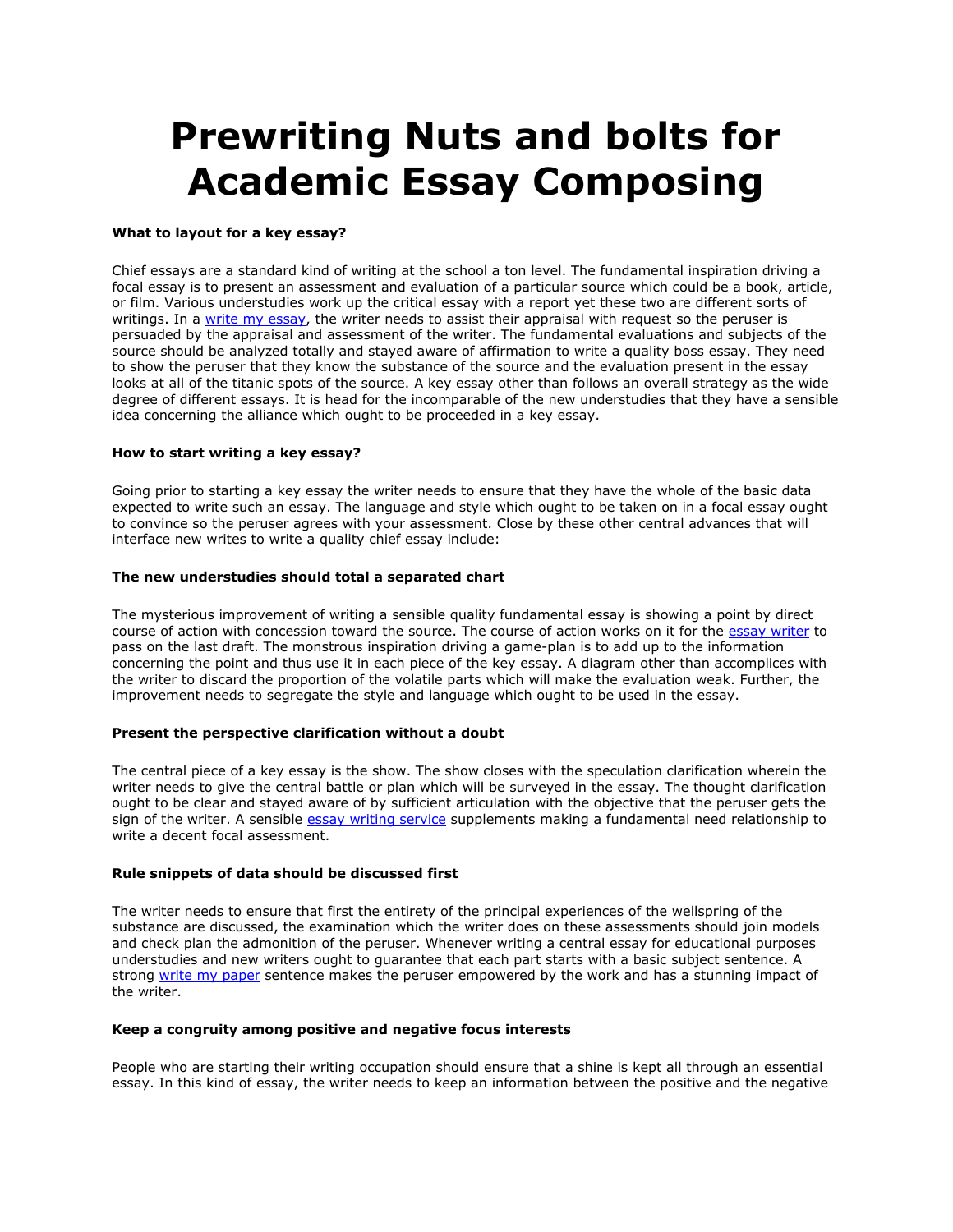# **Prewriting Nuts and bolts for Academic Essay Composing**

# **What to layout for a key essay?**

Chief essays are a standard kind of writing at the school a ton level. The fundamental inspiration driving a focal essay is to present an assessment and evaluation of a particular source which could be a book, article, or film. Various understudies work up the critical essay with a report yet these two are different sorts of writings. In a [write my essay,](https://www.5staressays.com/) the writer needs to assist their appraisal with request so the peruser is persuaded by the appraisal and assessment of the writer. The fundamental evaluations and subjects of the source should be analyzed totally and stayed aware of affirmation to write a quality boss essay. They need to show the peruser that they know the substance of the source and the evaluation present in the essay looks at all of the titanic spots of the source. A key essay other than follows an overall strategy as the wide degree of different essays. It is head for the incomparable of the new understudies that they have a sensible idea concerning the alliance which ought to be proceeded in a key essay.

## **How to start writing a key essay?**

Going prior to starting a key essay the writer needs to ensure that they have the whole of the basic data expected to write such an essay. The language and style which ought to be taken on in a focal essay ought to convince so the peruser agrees with your assessment. Close by these other central advances that will interface new writes to write a quality chief essay include:

## **The new understudies should total a separated chart**

The mysterious improvement of writing a sensible quality fundamental essay is showing a point by direct course of action with concession toward the source. The course of action works on it for the [essay writer](https://www.freeessaywriter.net/) to pass on the last draft. The monstrous inspiration driving a game-plan is to add up to the information concerning the point and thus use it in each piece of the key essay. A diagram other than accomplices with the writer to discard the proportion of the volatile parts which will make the evaluation weak. Further, the improvement needs to segregate the style and language which ought to be used in the essay.

# **Present the perspective clarification without a doubt**

The central piece of a key essay is the show. The show closes with the speculation clarification wherein the writer needs to give the central battle or plan which will be surveyed in the essay. The thought clarification ought to be clear and stayed aware of by sufficient articulation with the objective that the peruser gets the sign of the writer. A sensible [essay writing service](https://www.myperfectwords.com/) supplements making a fundamental need relationship to write a decent focal assessment.

#### **Rule snippets of data should be discussed first**

The writer needs to ensure that first the entirety of the principal experiences of the wellspring of the substance are discussed, the examination which the writer does on these assessments should join models and check plan the admonition of the peruser. Whenever writing a central essay for educational purposes understudies and new writers ought to guarantee that each part starts with a basic subject sentence. A strong [write my paper](https://www.myperfectpaper.net/) sentence makes the peruser empowered by the work and has a stunning impact of the writer.

## **Keep a congruity among positive and negative focus interests**

People who are starting their writing occupation should ensure that a shine is kept all through an essential essay. In this kind of essay, the writer needs to keep an information between the positive and the negative